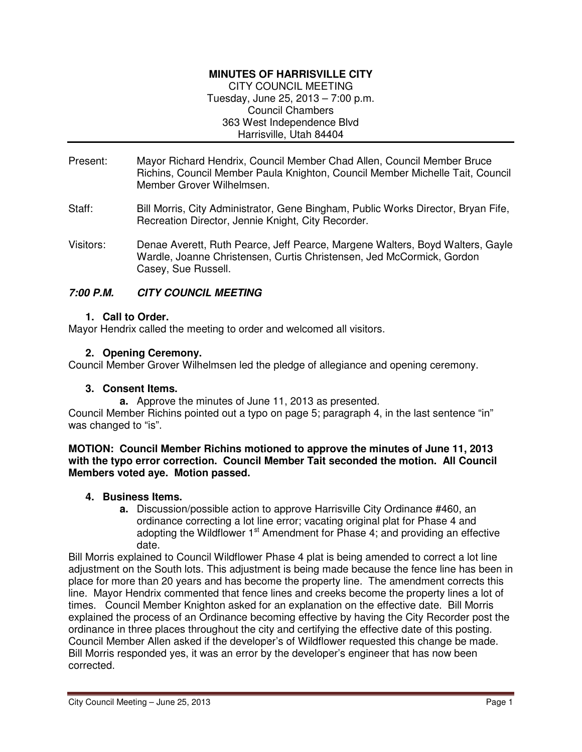## **MINUTES OF HARRISVILLE CITY**

CITY COUNCIL MEETING Tuesday, June 25, 2013 – 7:00 p.m. Council Chambers 363 West Independence Blvd Harrisville, Utah 84404

- Present: Mayor Richard Hendrix, Council Member Chad Allen, Council Member Bruce Richins, Council Member Paula Knighton, Council Member Michelle Tait, Council Member Grover Wilhelmsen.
- Staff: Bill Morris, City Administrator, Gene Bingham, Public Works Director, Bryan Fife, Recreation Director, Jennie Knight, City Recorder.
- Visitors: Denae Averett, Ruth Pearce, Jeff Pearce, Margene Walters, Boyd Walters, Gayle Wardle, Joanne Christensen, Curtis Christensen, Jed McCormick, Gordon Casey, Sue Russell.

## **7:00 P.M. CITY COUNCIL MEETING**

### **1. Call to Order.**

Mayor Hendrix called the meeting to order and welcomed all visitors.

## **2. Opening Ceremony.**

Council Member Grover Wilhelmsen led the pledge of allegiance and opening ceremony.

### **3. Consent Items.**

**a.** Approve the minutes of June 11, 2013 as presented.

Council Member Richins pointed out a typo on page 5; paragraph 4, in the last sentence "in" was changed to "is".

#### **MOTION: Council Member Richins motioned to approve the minutes of June 11, 2013 with the typo error correction. Council Member Tait seconded the motion. All Council Members voted aye. Motion passed.**

### **4. Business Items.**

**a.** Discussion/possible action to approve Harrisville City Ordinance #460, an ordinance correcting a lot line error; vacating original plat for Phase 4 and adopting the Wildflower  $1<sup>st</sup>$  Amendment for Phase 4; and providing an effective date.

Bill Morris explained to Council Wildflower Phase 4 plat is being amended to correct a lot line adjustment on the South lots. This adjustment is being made because the fence line has been in place for more than 20 years and has become the property line. The amendment corrects this line. Mayor Hendrix commented that fence lines and creeks become the property lines a lot of times. Council Member Knighton asked for an explanation on the effective date. Bill Morris explained the process of an Ordinance becoming effective by having the City Recorder post the ordinance in three places throughout the city and certifying the effective date of this posting. Council Member Allen asked if the developer's of Wildflower requested this change be made. Bill Morris responded yes, it was an error by the developer's engineer that has now been corrected.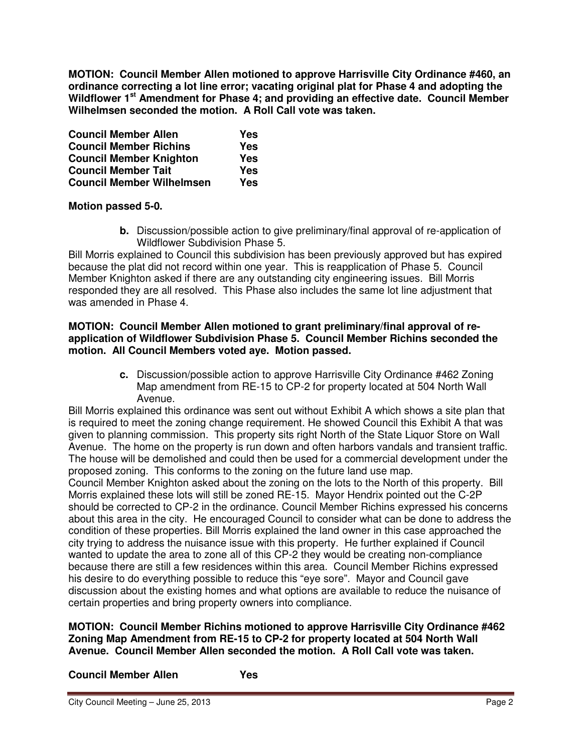**MOTION: Council Member Allen motioned to approve Harrisville City Ordinance #460, an ordinance correcting a lot line error; vacating original plat for Phase 4 and adopting the Wildflower 1st Amendment for Phase 4; and providing an effective date. Council Member Wilhelmsen seconded the motion. A Roll Call vote was taken.** 

| <b>Council Member Allen</b>      | Yes |
|----------------------------------|-----|
| <b>Council Member Richins</b>    | Yes |
| <b>Council Member Knighton</b>   | Yes |
| <b>Council Member Tait</b>       | Yes |
| <b>Council Member Wilhelmsen</b> | Yes |

# **Motion passed 5-0.**

**b.** Discussion/possible action to give preliminary/final approval of re-application of Wildflower Subdivision Phase 5.

Bill Morris explained to Council this subdivision has been previously approved but has expired because the plat did not record within one year. This is reapplication of Phase 5. Council Member Knighton asked if there are any outstanding city engineering issues. Bill Morris responded they are all resolved. This Phase also includes the same lot line adjustment that was amended in Phase 4.

#### **MOTION: Council Member Allen motioned to grant preliminary/final approval of reapplication of Wildflower Subdivision Phase 5. Council Member Richins seconded the motion. All Council Members voted aye. Motion passed.**

**c.** Discussion/possible action to approve Harrisville City Ordinance #462 Zoning Map amendment from RE-15 to CP-2 for property located at 504 North Wall Avenue.

Bill Morris explained this ordinance was sent out without Exhibit A which shows a site plan that is required to meet the zoning change requirement. He showed Council this Exhibit A that was given to planning commission. This property sits right North of the State Liquor Store on Wall Avenue. The home on the property is run down and often harbors vandals and transient traffic. The house will be demolished and could then be used for a commercial development under the proposed zoning. This conforms to the zoning on the future land use map.

Council Member Knighton asked about the zoning on the lots to the North of this property. Bill Morris explained these lots will still be zoned RE-15. Mayor Hendrix pointed out the C-2P should be corrected to CP-2 in the ordinance. Council Member Richins expressed his concerns about this area in the city. He encouraged Council to consider what can be done to address the condition of these properties. Bill Morris explained the land owner in this case approached the city trying to address the nuisance issue with this property. He further explained if Council wanted to update the area to zone all of this CP-2 they would be creating non-compliance because there are still a few residences within this area. Council Member Richins expressed his desire to do everything possible to reduce this "eye sore". Mayor and Council gave discussion about the existing homes and what options are available to reduce the nuisance of certain properties and bring property owners into compliance.

**MOTION: Council Member Richins motioned to approve Harrisville City Ordinance #462 Zoning Map Amendment from RE-15 to CP-2 for property located at 504 North Wall Avenue. Council Member Allen seconded the motion. A Roll Call vote was taken.** 

### **Council Member Allen Yes**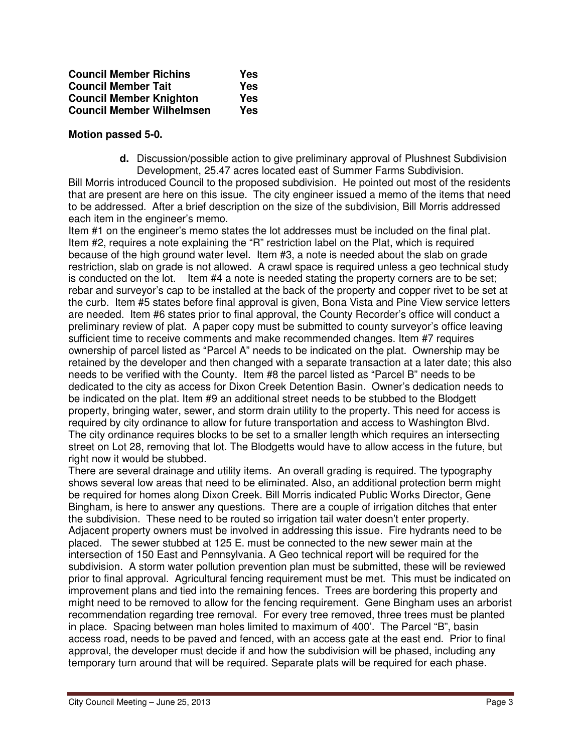| <b>Council Member Richins</b>    | Yes |
|----------------------------------|-----|
| <b>Council Member Tait</b>       | Yes |
| <b>Council Member Knighton</b>   | Yes |
| <b>Council Member Wilhelmsen</b> | Yes |

#### **Motion passed 5-0.**

**d.** Discussion/possible action to give preliminary approval of Plushnest Subdivision Development, 25.47 acres located east of Summer Farms Subdivision.

Bill Morris introduced Council to the proposed subdivision. He pointed out most of the residents that are present are here on this issue. The city engineer issued a memo of the items that need to be addressed. After a brief description on the size of the subdivision, Bill Morris addressed each item in the engineer's memo.

Item #1 on the engineer's memo states the lot addresses must be included on the final plat. Item #2, requires a note explaining the "R" restriction label on the Plat, which is required because of the high ground water level. Item #3, a note is needed about the slab on grade restriction, slab on grade is not allowed. A crawl space is required unless a geo technical study is conducted on the lot. Item #4 a note is needed stating the property corners are to be set; rebar and surveyor's cap to be installed at the back of the property and copper rivet to be set at the curb. Item #5 states before final approval is given, Bona Vista and Pine View service letters are needed. Item #6 states prior to final approval, the County Recorder's office will conduct a preliminary review of plat. A paper copy must be submitted to county surveyor's office leaving sufficient time to receive comments and make recommended changes. Item #7 requires ownership of parcel listed as "Parcel A" needs to be indicated on the plat. Ownership may be retained by the developer and then changed with a separate transaction at a later date; this also needs to be verified with the County. Item #8 the parcel listed as "Parcel B" needs to be dedicated to the city as access for Dixon Creek Detention Basin. Owner's dedication needs to be indicated on the plat. Item #9 an additional street needs to be stubbed to the Blodgett property, bringing water, sewer, and storm drain utility to the property. This need for access is required by city ordinance to allow for future transportation and access to Washington Blvd. The city ordinance requires blocks to be set to a smaller length which requires an intersecting street on Lot 28, removing that lot. The Blodgetts would have to allow access in the future, but right now it would be stubbed.

There are several drainage and utility items. An overall grading is required. The typography shows several low areas that need to be eliminated. Also, an additional protection berm might be required for homes along Dixon Creek. Bill Morris indicated Public Works Director, Gene Bingham, is here to answer any questions. There are a couple of irrigation ditches that enter the subdivision. These need to be routed so irrigation tail water doesn't enter property. Adjacent property owners must be involved in addressing this issue. Fire hydrants need to be placed. The sewer stubbed at 125 E. must be connected to the new sewer main at the intersection of 150 East and Pennsylvania. A Geo technical report will be required for the subdivision. A storm water pollution prevention plan must be submitted, these will be reviewed prior to final approval. Agricultural fencing requirement must be met. This must be indicated on improvement plans and tied into the remaining fences. Trees are bordering this property and might need to be removed to allow for the fencing requirement. Gene Bingham uses an arborist recommendation regarding tree removal. For every tree removed, three trees must be planted in place. Spacing between man holes limited to maximum of 400'. The Parcel "B", basin access road, needs to be paved and fenced, with an access gate at the east end. Prior to final approval, the developer must decide if and how the subdivision will be phased, including any temporary turn around that will be required. Separate plats will be required for each phase.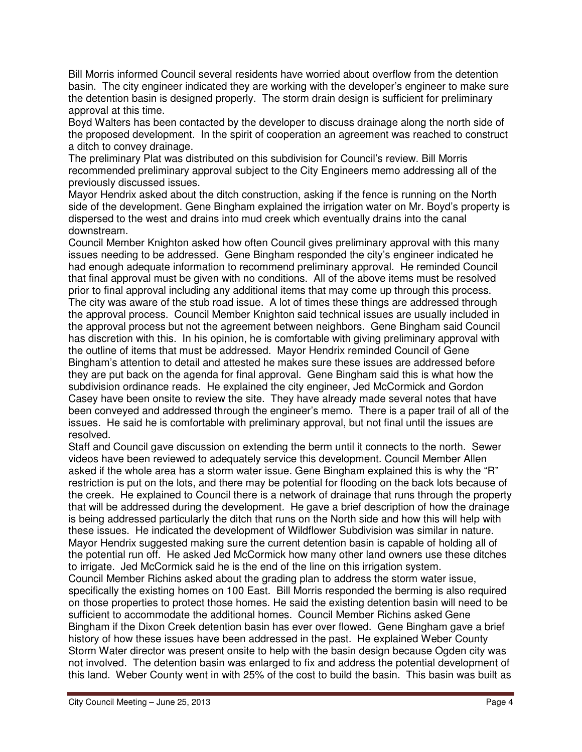Bill Morris informed Council several residents have worried about overflow from the detention basin. The city engineer indicated they are working with the developer's engineer to make sure the detention basin is designed properly. The storm drain design is sufficient for preliminary approval at this time.

Boyd Walters has been contacted by the developer to discuss drainage along the north side of the proposed development. In the spirit of cooperation an agreement was reached to construct a ditch to convey drainage.

The preliminary Plat was distributed on this subdivision for Council's review. Bill Morris recommended preliminary approval subject to the City Engineers memo addressing all of the previously discussed issues.

Mayor Hendrix asked about the ditch construction, asking if the fence is running on the North side of the development. Gene Bingham explained the irrigation water on Mr. Boyd's property is dispersed to the west and drains into mud creek which eventually drains into the canal downstream.

Council Member Knighton asked how often Council gives preliminary approval with this many issues needing to be addressed. Gene Bingham responded the city's engineer indicated he had enough adequate information to recommend preliminary approval. He reminded Council that final approval must be given with no conditions. All of the above items must be resolved prior to final approval including any additional items that may come up through this process. The city was aware of the stub road issue. A lot of times these things are addressed through the approval process. Council Member Knighton said technical issues are usually included in the approval process but not the agreement between neighbors. Gene Bingham said Council has discretion with this. In his opinion, he is comfortable with giving preliminary approval with the outline of items that must be addressed. Mayor Hendrix reminded Council of Gene Bingham's attention to detail and attested he makes sure these issues are addressed before they are put back on the agenda for final approval. Gene Bingham said this is what how the subdivision ordinance reads. He explained the city engineer, Jed McCormick and Gordon Casey have been onsite to review the site. They have already made several notes that have been conveyed and addressed through the engineer's memo. There is a paper trail of all of the issues. He said he is comfortable with preliminary approval, but not final until the issues are resolved.

Staff and Council gave discussion on extending the berm until it connects to the north. Sewer videos have been reviewed to adequately service this development. Council Member Allen asked if the whole area has a storm water issue. Gene Bingham explained this is why the "R" restriction is put on the lots, and there may be potential for flooding on the back lots because of the creek. He explained to Council there is a network of drainage that runs through the property that will be addressed during the development. He gave a brief description of how the drainage is being addressed particularly the ditch that runs on the North side and how this will help with these issues. He indicated the development of Wildflower Subdivision was similar in nature. Mayor Hendrix suggested making sure the current detention basin is capable of holding all of the potential run off. He asked Jed McCormick how many other land owners use these ditches to irrigate. Jed McCormick said he is the end of the line on this irrigation system.

Council Member Richins asked about the grading plan to address the storm water issue, specifically the existing homes on 100 East. Bill Morris responded the berming is also required on those properties to protect those homes. He said the existing detention basin will need to be sufficient to accommodate the additional homes. Council Member Richins asked Gene Bingham if the Dixon Creek detention basin has ever over flowed. Gene Bingham gave a brief history of how these issues have been addressed in the past. He explained Weber County Storm Water director was present onsite to help with the basin design because Ogden city was not involved. The detention basin was enlarged to fix and address the potential development of this land. Weber County went in with 25% of the cost to build the basin. This basin was built as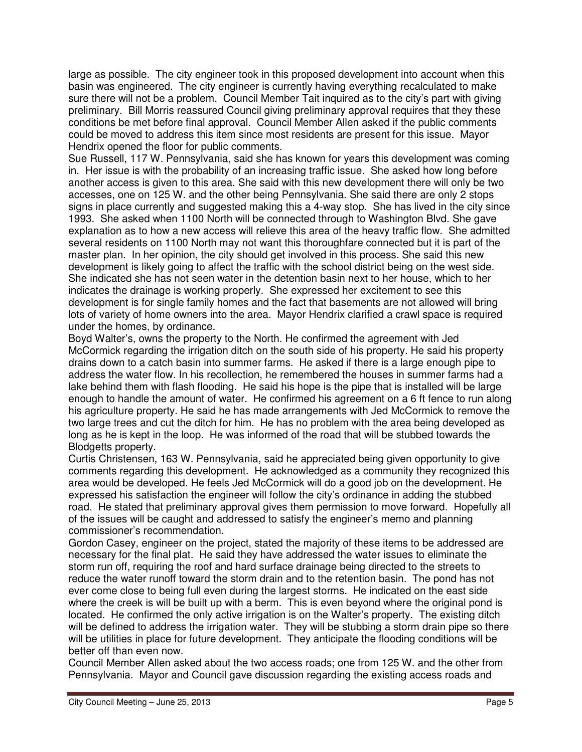large as possible. The city engineer took in this proposed development into account when this basin was engineered. The city engineer is currently having everything recalculated to make sure there will not be a problem. Council Member Tait inquired as to the city's part with giving preliminary. Bill Morris reassured Council giving preliminary approval requires that they these conditions be met before final approval. Council Member Allen asked if the public comments could be moved to address this item since most residents are present for this issue. Mayor Hendrix opened the floor for public comments.

Sue Russell, 117 W. Pennsylvania, said she has known for years this development was coming in. Her issue is with the probability of an increasing traffic issue. She asked how long before another access is given to this area. She said with this new development there will only be two accesses, one on 125 W. and the other being Pennsylvania. She said there are only 2 stops signs in place currently and suggested making this a 4-way stop. She has lived in the city since 1993. She asked when 1100 North will be connected through to Washington Blvd. She gave explanation as to how a new access will relieve this area of the heavy traffic flow. She admitted several residents on 1100 North may not want this thoroughfare connected but it is part of the master plan. In her opinion, the city should get involved in this process. She said this new development is likely going to affect the traffic with the school district being on the west side. She indicated she has not seen water in the detention basin next to her house, which to her indicates the drainage is working properly. She expressed her excitement to see this development is for single family homes and the fact that basements are not allowed will bring lots of variety of home owners into the area. Mayor Hendrix clarified a crawl space is required under the homes, by ordinance.

Boyd Walter's, owns the property to the North. He confirmed the agreement with Jed McCormick regarding the irrigation ditch on the south side of his property. He said his property drains down to a catch basin into summer farms. He asked if there is a large enough pipe to address the water flow. In his recollection, he remembered the houses in summer farms had a lake behind them with flash flooding. He said his hope is the pipe that is installed will be large enough to handle the amount of water. He confirmed his agreement on a 6 ft fence to run along his agriculture property. He said he has made arrangements with Jed McCormick to remove the two large trees and cut the ditch for him. He has no problem with the area being developed as long as he is kept in the loop. He was informed of the road that will be stubbed towards the Blodgetts property.

Curtis Christensen, 163 W. Pennsylvania, said he appreciated being given opportunity to give comments regarding this development. He acknowledged as a community they recognized this area would be developed. He feels Jed McCormick will do a good job on the development. He expressed his satisfaction the engineer will follow the city's ordinance in adding the stubbed road. He stated that preliminary approval gives them permission to move forward. Hopefully all of the issues will be caught and addressed to satisfy the engineer's memo and planning commissioner's recommendation.

Gordon Casey, engineer on the project, stated the majority of these items to be addressed are necessary for the final plat. He said they have addressed the water issues to eliminate the storm run off, requiring the roof and hard surface drainage being directed to the streets to reduce the water runoff toward the storm drain and to the retention basin. The pond has not ever come close to being full even during the largest storms. He indicated on the east side where the creek is will be built up with a berm. This is even beyond where the original pond is located. He confirmed the only active irrigation is on the Walter's property. The existing ditch will be defined to address the irrigation water. They will be stubbing a storm drain pipe so there will be utilities in place for future development. They anticipate the flooding conditions will be better off than even now.

Council Member Allen asked about the two access roads; one from 125 W. and the other from Pennsylvania. Mayor and Council gave discussion regarding the existing access roads and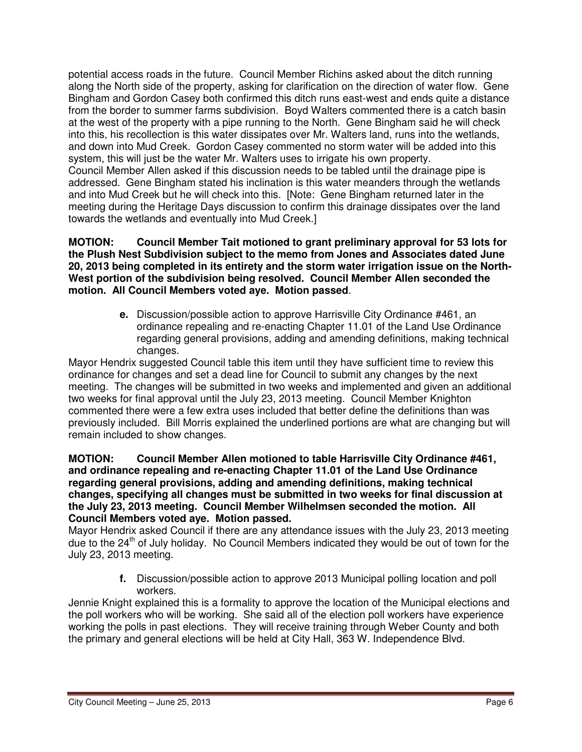potential access roads in the future. Council Member Richins asked about the ditch running along the North side of the property, asking for clarification on the direction of water flow. Gene Bingham and Gordon Casey both confirmed this ditch runs east-west and ends quite a distance from the border to summer farms subdivision. Boyd Walters commented there is a catch basin at the west of the property with a pipe running to the North. Gene Bingham said he will check into this, his recollection is this water dissipates over Mr. Walters land, runs into the wetlands, and down into Mud Creek. Gordon Casey commented no storm water will be added into this system, this will just be the water Mr. Walters uses to irrigate his own property. Council Member Allen asked if this discussion needs to be tabled until the drainage pipe is addressed. Gene Bingham stated his inclination is this water meanders through the wetlands and into Mud Creek but he will check into this. [Note: Gene Bingham returned later in the meeting during the Heritage Days discussion to confirm this drainage dissipates over the land towards the wetlands and eventually into Mud Creek.]

**MOTION: Council Member Tait motioned to grant preliminary approval for 53 lots for the Plush Nest Subdivision subject to the memo from Jones and Associates dated June 20, 2013 being completed in its entirety and the storm water irrigation issue on the North-West portion of the subdivision being resolved. Council Member Allen seconded the motion. All Council Members voted aye. Motion passed**.

> **e.** Discussion/possible action to approve Harrisville City Ordinance #461, an ordinance repealing and re-enacting Chapter 11.01 of the Land Use Ordinance regarding general provisions, adding and amending definitions, making technical changes.

Mayor Hendrix suggested Council table this item until they have sufficient time to review this ordinance for changes and set a dead line for Council to submit any changes by the next meeting. The changes will be submitted in two weeks and implemented and given an additional two weeks for final approval until the July 23, 2013 meeting. Council Member Knighton commented there were a few extra uses included that better define the definitions than was previously included. Bill Morris explained the underlined portions are what are changing but will remain included to show changes.

#### **MOTION: Council Member Allen motioned to table Harrisville City Ordinance #461, and ordinance repealing and re-enacting Chapter 11.01 of the Land Use Ordinance regarding general provisions, adding and amending definitions, making technical changes, specifying all changes must be submitted in two weeks for final discussion at the July 23, 2013 meeting. Council Member Wilhelmsen seconded the motion. All Council Members voted aye. Motion passed.**

Mayor Hendrix asked Council if there are any attendance issues with the July 23, 2013 meeting due to the  $24<sup>th</sup>$  of July holiday. No Council Members indicated they would be out of town for the July 23, 2013 meeting.

> **f.** Discussion/possible action to approve 2013 Municipal polling location and poll workers.

Jennie Knight explained this is a formality to approve the location of the Municipal elections and the poll workers who will be working. She said all of the election poll workers have experience working the polls in past elections. They will receive training through Weber County and both the primary and general elections will be held at City Hall, 363 W. Independence Blvd.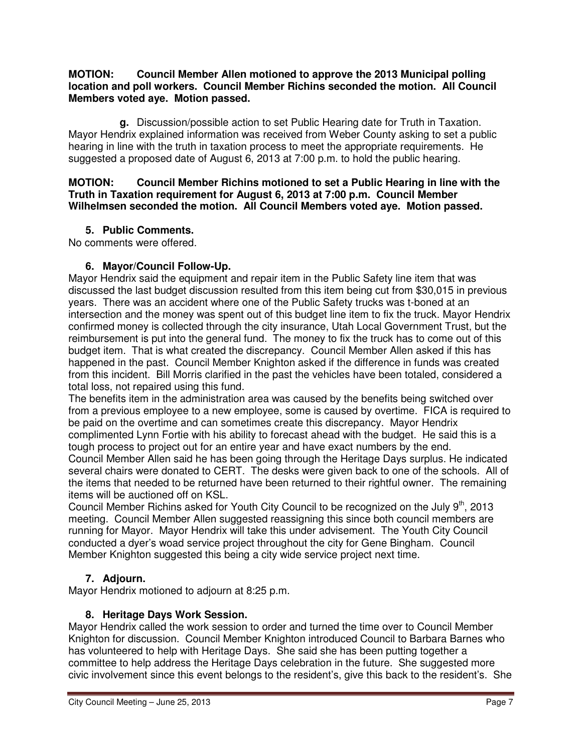#### **MOTION: Council Member Allen motioned to approve the 2013 Municipal polling location and poll workers. Council Member Richins seconded the motion. All Council Members voted aye. Motion passed.**

**g.** Discussion/possible action to set Public Hearing date for Truth in Taxation. Mayor Hendrix explained information was received from Weber County asking to set a public hearing in line with the truth in taxation process to meet the appropriate requirements. He suggested a proposed date of August 6, 2013 at 7:00 p.m. to hold the public hearing.

### **MOTION: Council Member Richins motioned to set a Public Hearing in line with the Truth in Taxation requirement for August 6, 2013 at 7:00 p.m. Council Member Wilhelmsen seconded the motion. All Council Members voted aye. Motion passed.**

# **5. Public Comments.**

No comments were offered.

# **6. Mayor/Council Follow-Up.**

Mayor Hendrix said the equipment and repair item in the Public Safety line item that was discussed the last budget discussion resulted from this item being cut from \$30,015 in previous years. There was an accident where one of the Public Safety trucks was t-boned at an intersection and the money was spent out of this budget line item to fix the truck. Mayor Hendrix confirmed money is collected through the city insurance, Utah Local Government Trust, but the reimbursement is put into the general fund. The money to fix the truck has to come out of this budget item. That is what created the discrepancy. Council Member Allen asked if this has happened in the past. Council Member Knighton asked if the difference in funds was created from this incident. Bill Morris clarified in the past the vehicles have been totaled, considered a total loss, not repaired using this fund.

The benefits item in the administration area was caused by the benefits being switched over from a previous employee to a new employee, some is caused by overtime. FICA is required to be paid on the overtime and can sometimes create this discrepancy. Mayor Hendrix complimented Lynn Fortie with his ability to forecast ahead with the budget. He said this is a tough process to project out for an entire year and have exact numbers by the end. Council Member Allen said he has been going through the Heritage Days surplus. He indicated several chairs were donated to CERT. The desks were given back to one of the schools. All of the items that needed to be returned have been returned to their rightful owner. The remaining items will be auctioned off on KSL.

Council Member Richins asked for Youth City Council to be recognized on the July 9<sup>th</sup>, 2013 meeting. Council Member Allen suggested reassigning this since both council members are running for Mayor. Mayor Hendrix will take this under advisement. The Youth City Council conducted a dyer's woad service project throughout the city for Gene Bingham. Council Member Knighton suggested this being a city wide service project next time.

# **7. Adjourn.**

Mayor Hendrix motioned to adjourn at 8:25 p.m.

# **8. Heritage Days Work Session.**

Mayor Hendrix called the work session to order and turned the time over to Council Member Knighton for discussion. Council Member Knighton introduced Council to Barbara Barnes who has volunteered to help with Heritage Days. She said she has been putting together a committee to help address the Heritage Days celebration in the future. She suggested more civic involvement since this event belongs to the resident's, give this back to the resident's. She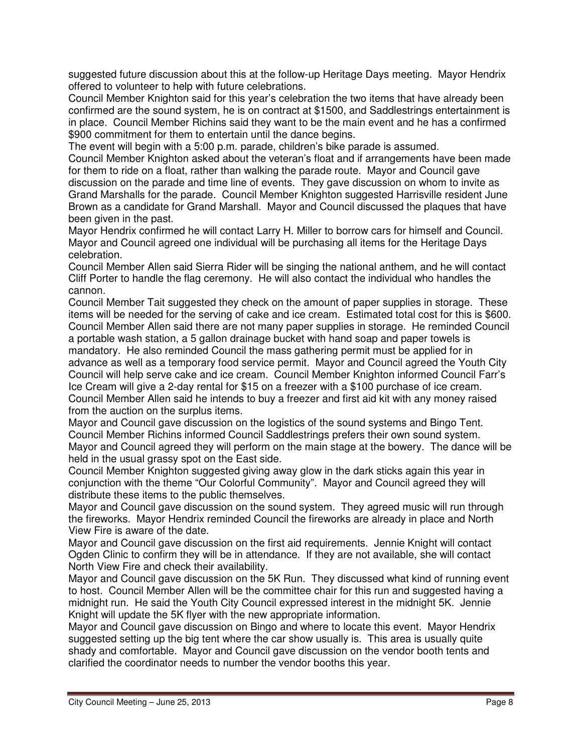suggested future discussion about this at the follow-up Heritage Days meeting. Mayor Hendrix offered to volunteer to help with future celebrations.

Council Member Knighton said for this year's celebration the two items that have already been confirmed are the sound system, he is on contract at \$1500, and Saddlestrings entertainment is in place. Council Member Richins said they want to be the main event and he has a confirmed \$900 commitment for them to entertain until the dance begins.

The event will begin with a 5:00 p.m. parade, children's bike parade is assumed.

Council Member Knighton asked about the veteran's float and if arrangements have been made for them to ride on a float, rather than walking the parade route. Mayor and Council gave discussion on the parade and time line of events. They gave discussion on whom to invite as Grand Marshalls for the parade. Council Member Knighton suggested Harrisville resident June Brown as a candidate for Grand Marshall. Mayor and Council discussed the plaques that have been given in the past.

Mayor Hendrix confirmed he will contact Larry H. Miller to borrow cars for himself and Council. Mayor and Council agreed one individual will be purchasing all items for the Heritage Days celebration.

Council Member Allen said Sierra Rider will be singing the national anthem, and he will contact Cliff Porter to handle the flag ceremony. He will also contact the individual who handles the cannon.

Council Member Tait suggested they check on the amount of paper supplies in storage. These items will be needed for the serving of cake and ice cream. Estimated total cost for this is \$600. Council Member Allen said there are not many paper supplies in storage. He reminded Council a portable wash station, a 5 gallon drainage bucket with hand soap and paper towels is mandatory. He also reminded Council the mass gathering permit must be applied for in advance as well as a temporary food service permit. Mayor and Council agreed the Youth City Council will help serve cake and ice cream. Council Member Knighton informed Council Farr's Ice Cream will give a 2-day rental for \$15 on a freezer with a \$100 purchase of ice cream. Council Member Allen said he intends to buy a freezer and first aid kit with any money raised from the auction on the surplus items.

Mayor and Council gave discussion on the logistics of the sound systems and Bingo Tent. Council Member Richins informed Council Saddlestrings prefers their own sound system. Mayor and Council agreed they will perform on the main stage at the bowery. The dance will be held in the usual grassy spot on the East side.

Council Member Knighton suggested giving away glow in the dark sticks again this year in conjunction with the theme "Our Colorful Community". Mayor and Council agreed they will distribute these items to the public themselves.

Mayor and Council gave discussion on the sound system. They agreed music will run through the fireworks. Mayor Hendrix reminded Council the fireworks are already in place and North View Fire is aware of the date.

Mayor and Council gave discussion on the first aid requirements. Jennie Knight will contact Ogden Clinic to confirm they will be in attendance. If they are not available, she will contact North View Fire and check their availability.

Mayor and Council gave discussion on the 5K Run. They discussed what kind of running event to host. Council Member Allen will be the committee chair for this run and suggested having a midnight run. He said the Youth City Council expressed interest in the midnight 5K. Jennie Knight will update the 5K flyer with the new appropriate information.

Mayor and Council gave discussion on Bingo and where to locate this event. Mayor Hendrix suggested setting up the big tent where the car show usually is. This area is usually quite shady and comfortable. Mayor and Council gave discussion on the vendor booth tents and clarified the coordinator needs to number the vendor booths this year.